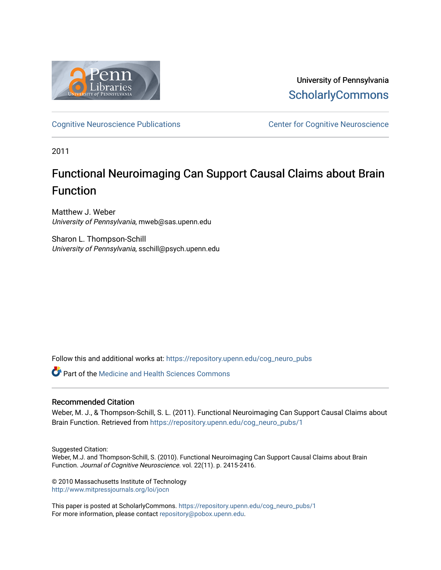

University of Pennsylvania **ScholarlyCommons** 

[Cognitive Neuroscience Publications](https://repository.upenn.edu/cog_neuro_pubs) **CENTE:** Center for Cognitive Neuroscience

2011

# Functional Neuroimaging Can Support Causal Claims about Brain Function

Matthew J. Weber University of Pennsylvania, mweb@sas.upenn.edu

Sharon L. Thompson-Schill University of Pennsylvania, sschill@psych.upenn.edu

Follow this and additional works at: [https://repository.upenn.edu/cog\\_neuro\\_pubs](https://repository.upenn.edu/cog_neuro_pubs?utm_source=repository.upenn.edu%2Fcog_neuro_pubs%2F1&utm_medium=PDF&utm_campaign=PDFCoverPages)

Part of the [Medicine and Health Sciences Commons](http://network.bepress.com/hgg/discipline/648?utm_source=repository.upenn.edu%2Fcog_neuro_pubs%2F1&utm_medium=PDF&utm_campaign=PDFCoverPages) 

### Recommended Citation

Weber, M. J., & Thompson-Schill, S. L. (2011). Functional Neuroimaging Can Support Causal Claims about Brain Function. Retrieved from [https://repository.upenn.edu/cog\\_neuro\\_pubs/1](https://repository.upenn.edu/cog_neuro_pubs/1?utm_source=repository.upenn.edu%2Fcog_neuro_pubs%2F1&utm_medium=PDF&utm_campaign=PDFCoverPages) 

Suggested Citation: Weber, M.J. and Thompson-Schill, S. (2010). Functional Neuroimaging Can Support Causal Claims about Brain Function. Journal of Cognitive Neuroscience. vol. 22(11). p. 2415-2416.

© 2010 Massachusetts Institute of Technology <http://www.mitpressjournals.org/loi/jocn>

This paper is posted at ScholarlyCommons. [https://repository.upenn.edu/cog\\_neuro\\_pubs/1](https://repository.upenn.edu/cog_neuro_pubs/1) For more information, please contact [repository@pobox.upenn.edu.](mailto:repository@pobox.upenn.edu)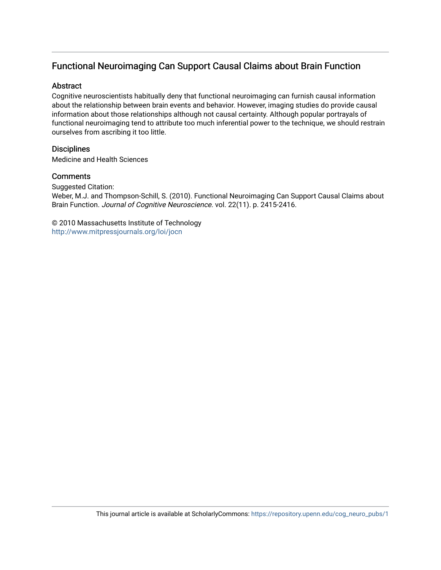## Functional Neuroimaging Can Support Causal Claims about Brain Function

### **Abstract**

Cognitive neuroscientists habitually deny that functional neuroimaging can furnish causal information about the relationship between brain events and behavior. However, imaging studies do provide causal information about those relationships although not causal certainty. Although popular portrayals of functional neuroimaging tend to attribute too much inferential power to the technique, we should restrain ourselves from ascribing it too little.

## **Disciplines**

Medicine and Health Sciences

## **Comments**

Suggested Citation:

Weber, M.J. and Thompson-Schill, S. (2010). Functional Neuroimaging Can Support Causal Claims about Brain Function. Journal of Cognitive Neuroscience. vol. 22(11). p. 2415-2416.

© 2010 Massachusetts Institute of Technology <http://www.mitpressjournals.org/loi/jocn>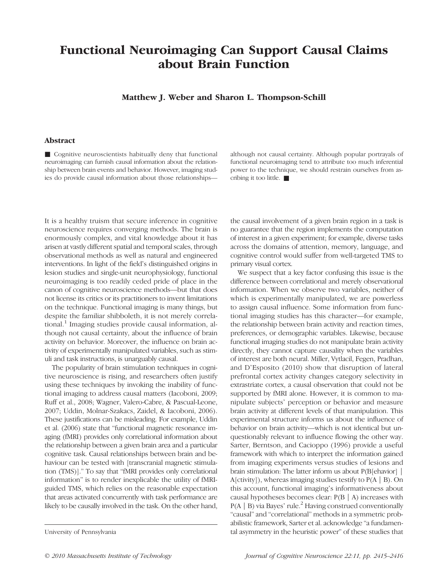## Functional Neuroimaging Can Support Causal Claims about Brain Function

Matthew J. Weber and Sharon L. Thompson-Schill

### Abstract

■ Cognitive neuroscientists habitually deny that functional neuroimaging can furnish causal information about the relationship between brain events and behavior. However, imaging studies do provide causal information about those relationshipsalthough not causal certainty. Although popular portrayals of functional neuroimaging tend to attribute too much inferential power to the technique, we should restrain ourselves from ascribing it too little. ■

It is a healthy truism that secure inference in cognitive neuroscience requires converging methods. The brain is enormously complex, and vital knowledge about it has arisen at vastly different spatial and temporal scales, through observational methods as well as natural and engineered interventions. In light of the field's distinguished origins in lesion studies and single-unit neurophysiology, functional neuroimaging is too readily ceded pride of place in the canon of cognitive neuroscience methods—but that does not license its critics or its practitioners to invent limitations on the technique. Functional imaging is many things, but despite the familiar shibboleth, it is not merely correlational.<sup>1</sup> Imaging studies provide causal information, although not causal certainty, about the influence of brain activity on behavior. Moreover, the influence on brain activity of experimentally manipulated variables, such as stimuli and task instructions, is unarguably causal.

The popularity of brain stimulation techniques in cognitive neuroscience is rising, and researchers often justify using these techniques by invoking the inability of functional imaging to address causal matters (Iacoboni, 2009; Ruff et al., 2008; Wagner, Valero-Cabre, & Pascual-Leone, 2007; Uddin, Molnar-Szakacs, Zaidel, & Iacoboni, 2006). These justifications can be misleading. For example, Uddin et al. (2006) state that "functional magnetic resonance imaging (fMRI) provides only correlational information about the relationship between a given brain area and a particular cognitive task. Causal relationships between brain and behaviour can be tested with [transcranial magnetic stimulation (TMS)]." To say that "fMRI provides only correlational information" is to render inexplicable the utility of fMRIguided TMS, which relies on the reasonable expectation that areas activated concurrently with task performance are likely to be causally involved in the task. On the other hand,

the causal involvement of a given brain region in a task is no guarantee that the region implements the computation of interest in a given experiment; for example, diverse tasks across the domains of attention, memory, language, and cognitive control would suffer from well-targeted TMS to primary visual cortex.

We suspect that a key factor confusing this issue is the difference between correlational and merely observational information. When we observe two variables, neither of which is experimentally manipulated, we are powerless to assign causal influence. Some information from functional imaging studies has this character—for example, the relationship between brain activity and reaction times, preferences, or demographic variables. Likewise, because functional imaging studies do not manipulate brain activity directly, they cannot capture causality when the variables of interest are both neural. Miller, Vytlacil, Fegen, Pradhan, and D'Esposito (2010) show that disruption of lateral prefrontal cortex activity changes category selectivity in extrastriate cortex, a causal observation that could not be supported by fMRI alone. However, it is common to manipulate subjects' perception or behavior and measure brain activity at different levels of that manipulation. This experimental structure informs us about the influence of behavior on brain activity—which is not identical but unquestionably relevant to influence flowing the other way. Sarter, Berntson, and Cacioppo (1996) provide a useful framework with which to interpret the information gained from imaging experiments versus studies of lesions and brain stimulation: The latter inform us about P(B[ehavior] | A[ctivity]), whereas imaging studies testify to  $P(A | B)$ . On this account, functional imaging's informativeness about causal hypotheses becomes clear:  $P(B \mid A)$  increases with  $P(A | B)$  via Bayes' rule.<sup>2</sup> Having construed conventionally "causal" and "correlational" methods in a symmetric probabilistic framework, Sarter et al. acknowledge "a fundamen-University of Pennsylvania tal asymmetry in the heuristic power" of these studies that